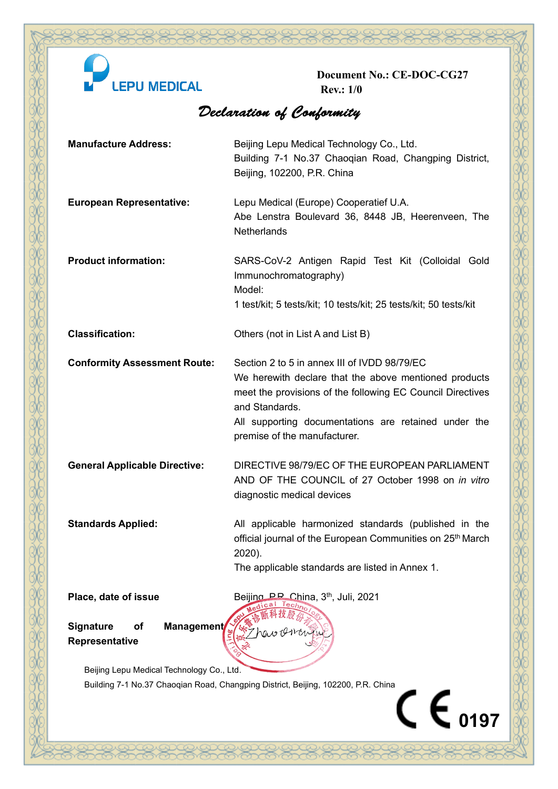

**Document No.: CE-DOC-CG27 Rev.: 1/0**

X

## Declaration of Conformity

| <b>Manufacture Address:</b>                                                       | Beijing Lepu Medical Technology Co., Ltd.<br>Building 7-1 No.37 Chaoqian Road, Changping District,<br>Beijing, 102200, P.R. China                                                                                                                                             |
|-----------------------------------------------------------------------------------|-------------------------------------------------------------------------------------------------------------------------------------------------------------------------------------------------------------------------------------------------------------------------------|
| <b>European Representative:</b>                                                   | Lepu Medical (Europe) Cooperatief U.A.<br>Abe Lenstra Boulevard 36, 8448 JB, Heerenveen, The<br>Netherlands                                                                                                                                                                   |
| <b>Product information:</b>                                                       | SARS-CoV-2 Antigen Rapid Test Kit (Colloidal Gold<br>Immunochromatography)<br>Model:<br>1 test/kit; 5 tests/kit; 10 tests/kit; 25 tests/kit; 50 tests/kit                                                                                                                     |
| <b>Classification:</b>                                                            | Others (not in List A and List B)                                                                                                                                                                                                                                             |
| <b>Conformity Assessment Route:</b>                                               | Section 2 to 5 in annex III of IVDD 98/79/EC<br>We herewith declare that the above mentioned products<br>meet the provisions of the following EC Council Directives<br>and Standards.<br>All supporting documentations are retained under the<br>premise of the manufacturer. |
| <b>General Applicable Directive:</b>                                              | DIRECTIVE 98/79/EC OF THE EUROPEAN PARLIAMENT<br>AND OF THE COUNCIL of 27 October 1998 on in vitro<br>diagnostic medical devices                                                                                                                                              |
| <b>Standards Applied:</b>                                                         | All applicable harmonized standards (published in the<br>official journal of the European Communities on 25 <sup>th</sup> March<br>2020).<br>The applicable standards are listed in Annex 1.                                                                                  |
| Place, date of issue                                                              | Beijing P.P. China, 3 <sup>th</sup> , Juli, 2021                                                                                                                                                                                                                              |
| <b>Management</b><br><b>Signature</b><br><b>of</b><br>Representative              |                                                                                                                                                                                                                                                                               |
| Beijing Lepu Medical Technology Co., Ltd.                                         |                                                                                                                                                                                                                                                                               |
| Building 7-1 No.37 Chaoqian Road, Changping District, Beijing, 102200, P.R. China |                                                                                                                                                                                                                                                                               |
|                                                                                   | $\mathsf{C}\ \mathsf{\mathsf{E}}_{\,0197}$                                                                                                                                                                                                                                    |